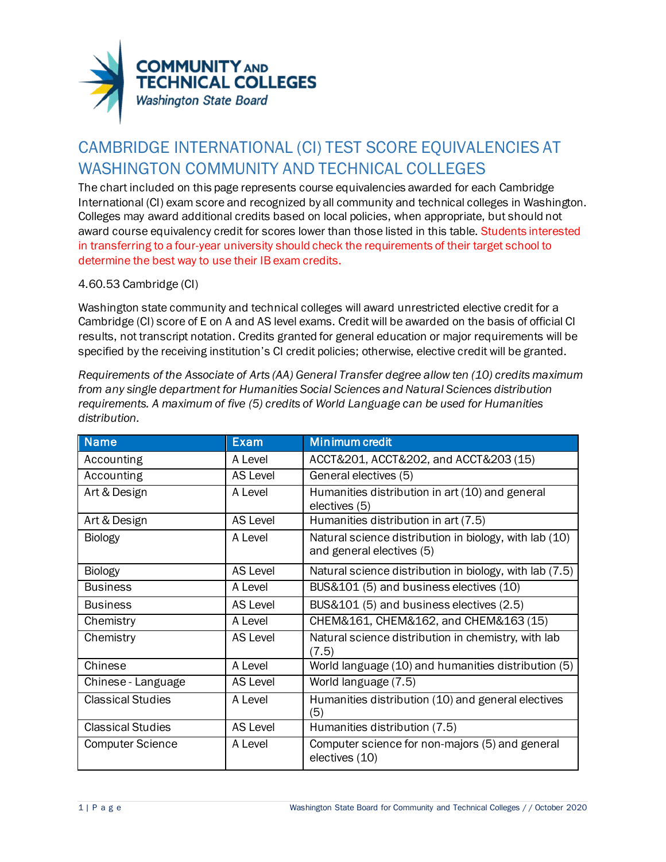

## CAMBRIDGE INTERNATIONAL (CI) TEST SCORE EQUIVALENCIES AT WASHINGTON COMMUNITY AND TECHNICAL COLLEGES

The chart included on this page represents course equivalencies awarded for each Cambridge International (CI) exam score and recognized by all community and technical colleges in Washington. Colleges may award additional credits based on local policies, when appropriate, but should not award course equivalency credit for scores lower than those listed in this table. Students interested in transferring to a four-year university should check the requirements of their target school to determine the best way to use their IB exam credits.

## 4.60.53 Cambridge (CI)

Washington state community and technical colleges will award unrestricted elective credit for a Cambridge (CI) score of E on A and AS level exams. Credit will be awarded on the basis of official CI results, not transcript notation. Credits granted for general education or major requirements will be specified by the receiving institution's CI credit policies; otherwise, elective credit will be granted.

*Requirements of the Associate of Arts (AA) General Transfer degree allow ten (10) credits maximum from any single department for Humanities Social Sciences and Natural Sciences distribution requirements. A maximum of five (5) credits of World Language can be used for Humanities distribution.*

| <b>Name</b>              | <b>Exam</b>     | Minimum credit                                                                      |
|--------------------------|-----------------|-------------------------------------------------------------------------------------|
| Accounting               | A Level         | ACCT&201, ACCT&202, and ACCT&203 (15)                                               |
| Accounting               | <b>AS Level</b> | General electives (5)                                                               |
| Art & Design             | A Level         | Humanities distribution in art (10) and general<br>electives (5)                    |
| Art & Design             | AS Level        | Humanities distribution in art (7.5)                                                |
| <b>Biology</b>           | A Level         | Natural science distribution in biology, with lab (10)<br>and general electives (5) |
| <b>Biology</b>           | AS Level        | Natural science distribution in biology, with lab (7.5)                             |
| <b>Business</b>          | A Level         | BUS&101 (5) and business electives (10)                                             |
| <b>Business</b>          | <b>AS Level</b> | BUS&101 (5) and business electives (2.5)                                            |
| Chemistry                | A Level         | CHEM&161, CHEM&162, and CHEM&163 (15)                                               |
| Chemistry                | <b>AS Level</b> | Natural science distribution in chemistry, with lab<br>(7.5)                        |
| Chinese                  | A Level         | World language (10) and humanities distribution (5)                                 |
| Chinese - Language       | <b>AS Level</b> | World language (7.5)                                                                |
| <b>Classical Studies</b> | A Level         | Humanities distribution (10) and general electives<br>(5)                           |
| <b>Classical Studies</b> | <b>AS Level</b> | Humanities distribution (7.5)                                                       |
| <b>Computer Science</b>  | A Level         | Computer science for non-majors (5) and general<br>electives (10)                   |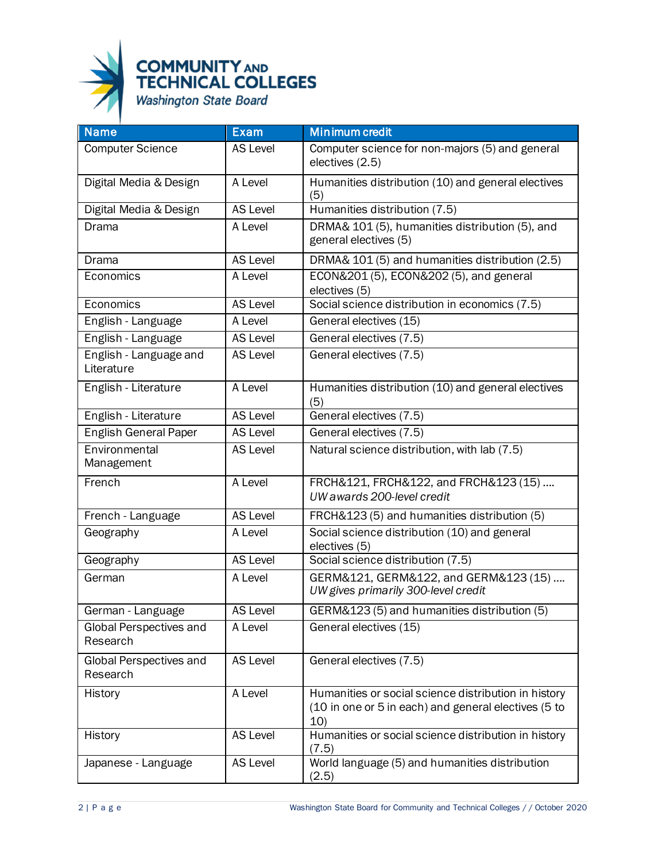

| <b>Name</b>                          | <b>Exam</b>     | <b>Minimum credit</b>                                                                                               |
|--------------------------------------|-----------------|---------------------------------------------------------------------------------------------------------------------|
| <b>Computer Science</b>              | AS Level        | Computer science for non-majors (5) and general<br>electives (2.5)                                                  |
| Digital Media & Design               | A Level         | Humanities distribution (10) and general electives<br>(5)                                                           |
| Digital Media & Design               | <b>AS Level</b> | Humanities distribution (7.5)                                                                                       |
| Drama                                | A Level         | DRMA& 101 (5), humanities distribution (5), and<br>general electives (5)                                            |
| <b>Drama</b>                         | <b>AS Level</b> | DRMA& 101 (5) and humanities distribution (2.5)                                                                     |
| Economics                            | A Level         | ECON&201 (5), ECON&202 (5), and general<br>electives (5)                                                            |
| Economics                            | AS Level        | Social science distribution in economics (7.5)                                                                      |
| English - Language                   | A Level         | General electives (15)                                                                                              |
| English - Language                   | <b>AS Level</b> | General electives (7.5)                                                                                             |
| English - Language and<br>Literature | <b>AS Level</b> | General electives (7.5)                                                                                             |
| English - Literature                 | A Level         | Humanities distribution (10) and general electives<br>(5)                                                           |
| English - Literature                 | <b>AS Level</b> | General electives (7.5)                                                                                             |
| <b>English General Paper</b>         | <b>AS Level</b> | General electives (7.5)                                                                                             |
| Environmental<br>Management          | <b>AS Level</b> | Natural science distribution, with lab (7.5)                                                                        |
| French                               | A Level         | FRCH&121, FRCH&122, and FRCH&123 (15)<br>UW awards 200-level credit                                                 |
| French - Language                    | <b>AS Level</b> | FRCH&123 (5) and humanities distribution (5)                                                                        |
| Geography                            | A Level         | Social science distribution (10) and general<br>electives (5)                                                       |
| Geography                            | <b>AS Level</b> | Social science distribution (7.5)                                                                                   |
| German                               | A Level         | GERM&121, GERM&122, and GERM&123 (15)<br>UW gives primarily 300-level credit                                        |
| German - Language                    | AS Level        | GERM&123 (5) and humanities distribution (5)                                                                        |
| Global Perspectives and<br>Research  | A Level         | General electives (15)                                                                                              |
| Global Perspectives and<br>Research  | <b>AS Level</b> | General electives (7.5)                                                                                             |
| History                              | A Level         | Humanities or social science distribution in history<br>(10 in one or 5 in each) and general electives (5 to<br>10) |
| History                              | <b>AS Level</b> | Humanities or social science distribution in history<br>(7.5)                                                       |
| Japanese - Language                  | <b>AS Level</b> | World language (5) and humanities distribution<br>(2.5)                                                             |